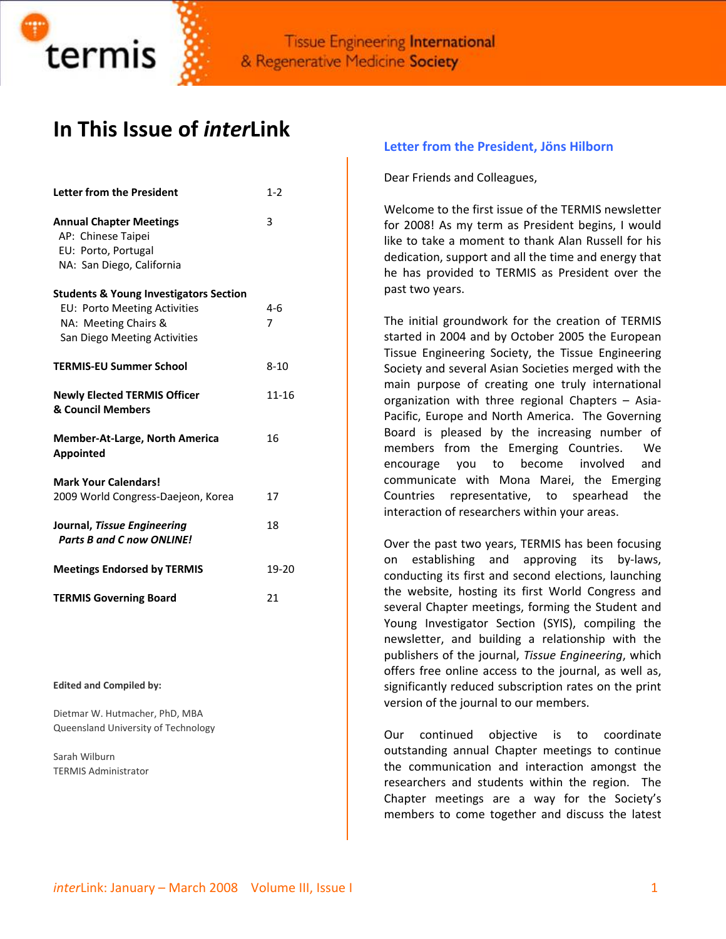

# **In This Issue of** *inter***Link**

| <b>Letter from the President</b>                                                                                                          | $1 - 2$      |
|-------------------------------------------------------------------------------------------------------------------------------------------|--------------|
| <b>Annual Chapter Meetings</b><br>AP: Chinese Taipei<br>EU: Porto, Portugal<br>NA: San Diego, California                                  | 3            |
| <b>Students &amp; Young Investigators Section</b><br>EU: Porto Meeting Activities<br>NA: Meeting Chairs &<br>San Diego Meeting Activities | $4 - 6$<br>7 |
| <b>TERMIS-EU Summer School</b>                                                                                                            | $8 - 10$     |
| <b>Newly Elected TERMIS Officer</b><br>& Council Members                                                                                  | 11-16        |
| <b>Member-At-Large, North America</b><br><b>Appointed</b>                                                                                 | 16           |
| <b>Mark Your Calendars!</b><br>2009 World Congress-Daejeon, Korea                                                                         | 17           |
| Journal, Tissue Engineering<br><b>Parts B and C now ONLINE!</b>                                                                           | 18           |
| <b>Meetings Endorsed by TERMIS</b>                                                                                                        | 19-20        |
| <b>TERMIS Governing Board</b>                                                                                                             | 21           |

#### **Edited and Compiled by:**

Dietmar W. Hutmacher, PhD, MBA Queensland University of Technology

Sarah Wilburn TERMIS Administrator

#### **Letter from the President, Jöns Hilborn**

Dear Friends and Colleagues,

Welcome to the first issue of the TERMIS newsletter for 2008! As my term as President begins, I would like to take a moment to thank Alan Russell for his dedication, support and all the time and energy that he has provided to TERMIS as President over the past two years.

The initial groundwork for the creation of TERMIS started in 2004 and by October 2005 the European Tissue Engineering Society, the Tissue Engineering Society and several Asian Societies merged with the main purpose of creating one truly international organization with three regional Chapters – Asia‐ Pacific, Europe and North America. The Governing Board is pleased by the increasing number of members from the Emerging Countries. We encourage you to become involved and communicate with Mona Marei, the Emerging Countries representative, to spearhead the interaction of researchers within your areas.

Over the past two years, TERMIS has been focusing on establishing and approving its by‐laws, conducting its first and second elections, launching the website, hosting its first World Congress and several Chapter meetings, forming the Student and Young Investigator Section (SYIS), compiling the newsletter, and building a relationship with the publishers of the journal, *Tissue Engineering*, which offers free online access to the journal, as well as, significantly reduced subscription rates on the print version of the journal to our members.

Our continued objective is to coordinate outstanding annual Chapter meetings to continue the communication and interaction amongst the researchers and students within the region. The Chapter meetings are a way for the Society's members to come together and discuss the latest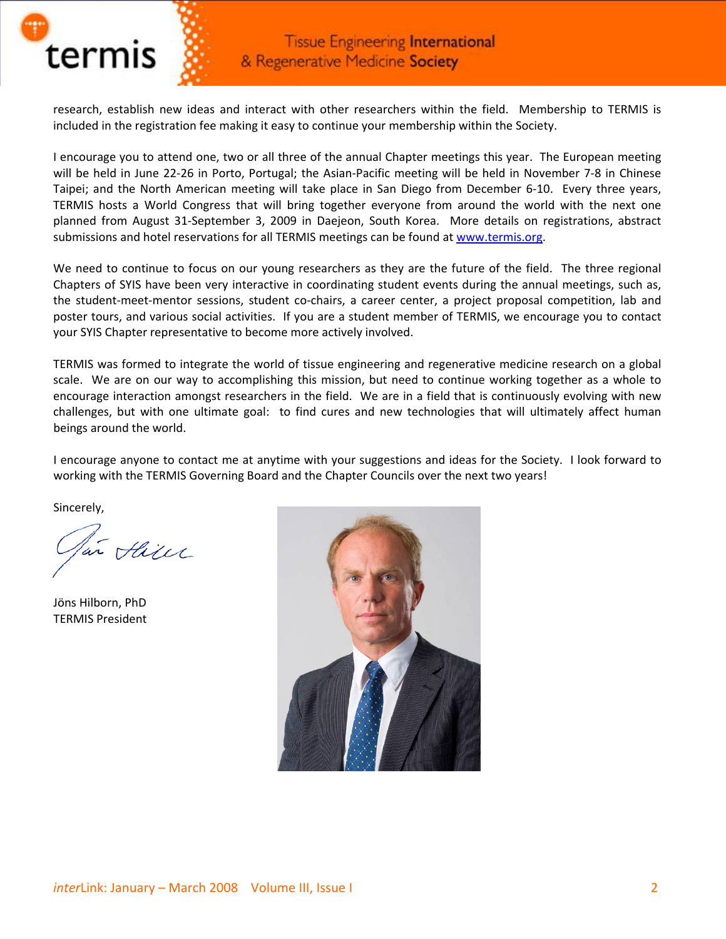

research, establish new ideas and interact with other researchers within the field. Membership to TERMIS is included in the registration fee making it easy to continue your membership within the Society.

I encourage you to attend one, two or all three of the annual Chapter meetings this year. The European meeting will be held in June 22-26 in Porto, Portugal; the Asian-Pacific meeting will be held in November 7-8 in Chinese Taipei; and the North American meeting will take place in San Diego from December 6‐10. Every three years, TERMIS hosts a World Congress that will bring together everyone from around the world with the next one planned from August 31‐September 3, 2009 in Daejeon, South Korea. More details on registrations, abstract submissions and hotel reservations for all TERMIS meetings can be found at [www.termis.org.](http://www.termis.org/)

We need to continue to focus on our young researchers as they are the future of the field. The three regional Chapters of SYIS have been very interactive in coordinating student events during the annual meetings, such as, the student‐meet‐mentor sessions, student co‐chairs, a career center, a project proposal competition, lab and poster tours, and various social activities. If you are a student member of TERMIS, we encourage you to contact your SYIS Chapter representative to become more actively involved.

TERMIS was formed to integrate the world of tissue engineering and regenerative medicine research on a global scale. We are on our way to accomplishing this mission, but need to continue working together as a whole to encourage interaction amongst researchers in the field. We are in a field that is continuously evolving with new challenges, but with one ultimate goal: to find cures and new technologies that will ultimately affect human beings around the world.

I encourage anyone to contact me at anytime with your suggestions and ideas for the Society. I look forward to working with the TERMIS Governing Board and the Chapter Councils over the next two years!

Sincerely,

in Hill

Jöns Hilborn, PhD TERMIS President

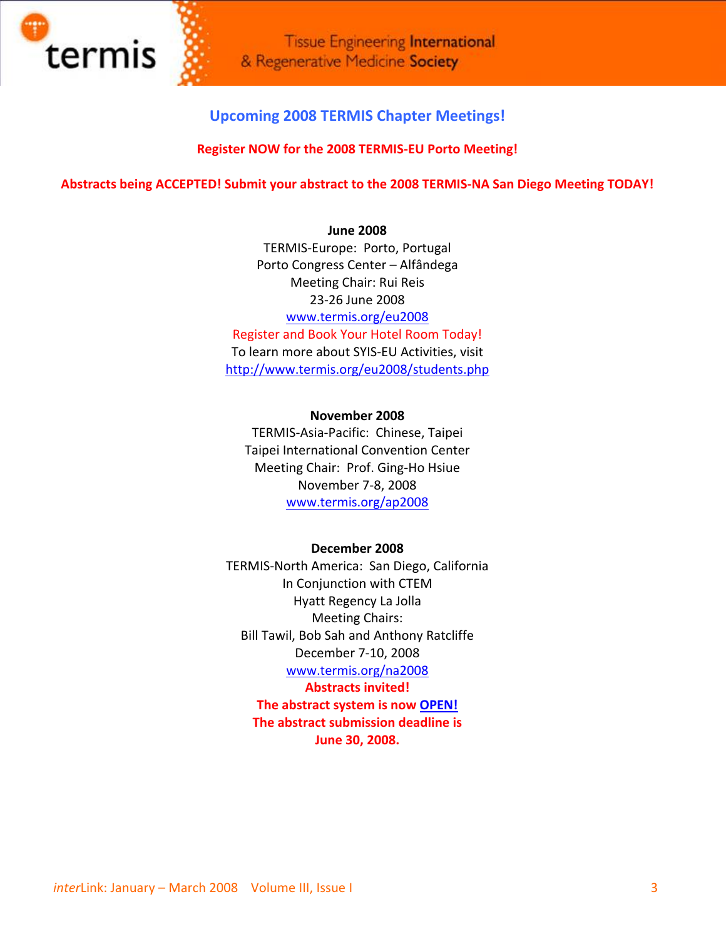

## **Upcoming 2008 TERMIS Chapter Meetings!**

#### **Register NOW for the 2008 TERMIS‐EU Porto Meeting!**

#### **Abstracts being ACCEPTED! Submit your abstract to the 2008 TERMIS‐NA San Diego Meeting TODAY!**

#### **June 2008**

TERMIS‐Europe: Porto, Portugal Porto Congress Center – Alfândega Meeting Chair: Rui Reis 23‐26 June 2008 [www.termis.org/eu2008](http://www.termis.org/eu2008) Register and Book Your Hotel Room Today! To learn more about SYIS‐EU Activities, visit <http://www.termis.org/eu2008/students.php>

**November 2008** TERMIS‐Asia‐Pacific: Chinese, Taipei Taipei International Convention Center Meeting Chair: Prof. Ging‐Ho Hsiue November 7‐8, 2008 [www.termis.org/ap2008](http://www.termis.org/ap2008)

#### **December 2008**

TERMIS‐North America: San Diego, California In Conjunction with CTEM Hyatt Regency La Jolla Meeting Chairs: Bill Tawil, Bob Sah and Anthony Ratcliffe December 7‐10, 2008 [www.termis.org/na2008](http://www.termis.org/na2008) **Abstracts invited! The abstract system is now [OPEN!](http://www.termis.org/na2008/abstract_call.php) The abstract submission deadline is** 

**June 30, 2008.**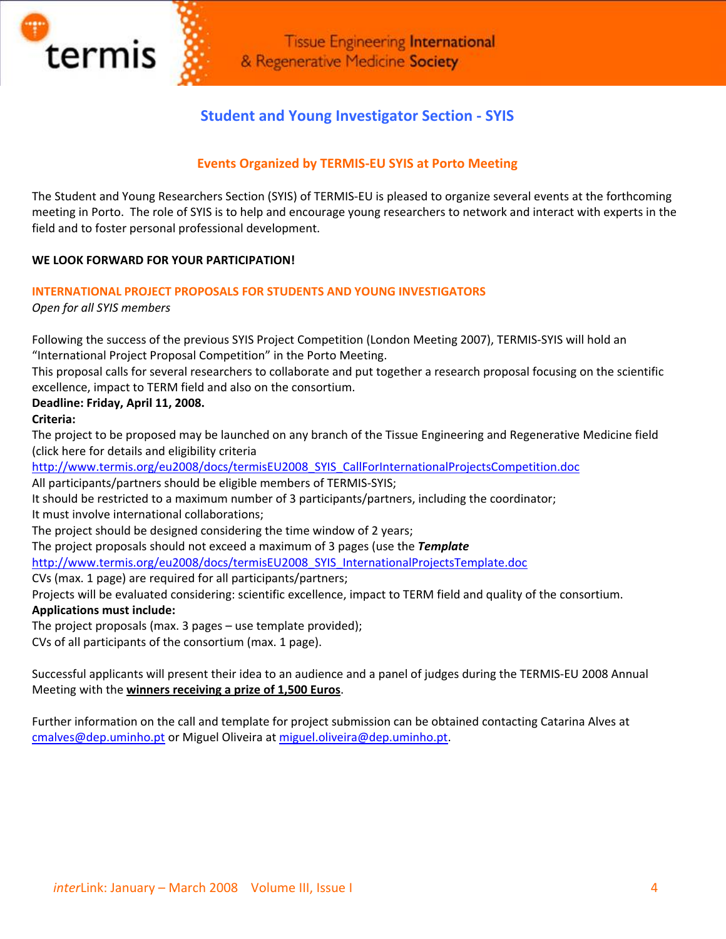

## **Student and Young Investigator Section ‐ SYIS**

## **Events Organized by TERMIS‐EU SYIS at Porto Meeting**

The Student and Young Researchers Section (SYIS) of TERMIS‐EU is pleased to organize several events at the forthcoming meeting in Porto. The role of SYIS is to help and encourage young researchers to network and interact with experts in the field and to foster personal professional development.

#### **WE LOOK FORWARD FOR YOUR PARTICIPATION!**

#### **INTERNATIONAL PROJECT PROPOSALS FOR STUDENTS AND YOUNG INVESTIGATORS**

*Open for all SYIS members* 

Following the success of the previous SYIS Project Competition (London Meeting 2007), TERMIS‐SYIS will hold an "International Project Proposal Competition" in the Porto Meeting.

This proposal calls for several researchers to collaborate and put together a research proposal focusing on the scientific excellence, impact to TERM field and also on the consortium.

#### **Deadline: Friday, April 11, 2008.**

**Criteria:**

The project to be proposed may be launched on any branch of the Tissue Engineering and Regenerative Medicine field (click here for details and eligibility criteria

[http://www.termis.org/eu2008/docs/termisEU2008\\_SYIS\\_CallForInternationalProjectsCompetition.doc](http://www.termis.org/eu2008/docs/termisEU2008_SYIS_CallForInternationalProjectsCompetition.doc)

All participants/partners should be eligible members of TERMIS‐SYIS;

It should be restricted to a maximum number of 3 participants/partners, including the coordinator;

It must involve international collaborations;

The project should be designed considering the time window of 2 years;

The project proposals should not exceed a maximum of 3 pages (use the *Template*

[http://www.termis.org/eu2008/docs/termisEU2008\\_SYIS\\_InternationalProjectsTemplate.doc](http://www.termis.org/eu2008/docs/termisEU2008_SYIS_InternationalProjectsTemplate.doc)

CVs (max. 1 page) are required for all participants/partners;

Projects will be evaluated considering: scientific excellence, impact to TERM field and quality of the consortium. **Applications must include:**

The project proposals (max. 3 pages – use template provided);

CVs of all participants of the consortium (max. 1 page).

Successful applicants will present their idea to an audience and a panel of judges during the TERMIS‐EU 2008 Annual Meeting with the **winners receiving a prize of 1,500 Euros**.

Further information on the call and template for project submission can be obtained contacting Catarina Alves at [cmalves@dep.uminho.pt](mailto:cmalves@dep.uminho.pt) or Miguel Oliveira at [miguel.oliveira@dep.uminho.pt.](mailto:miguel.oliveira@dep.uminho.pt)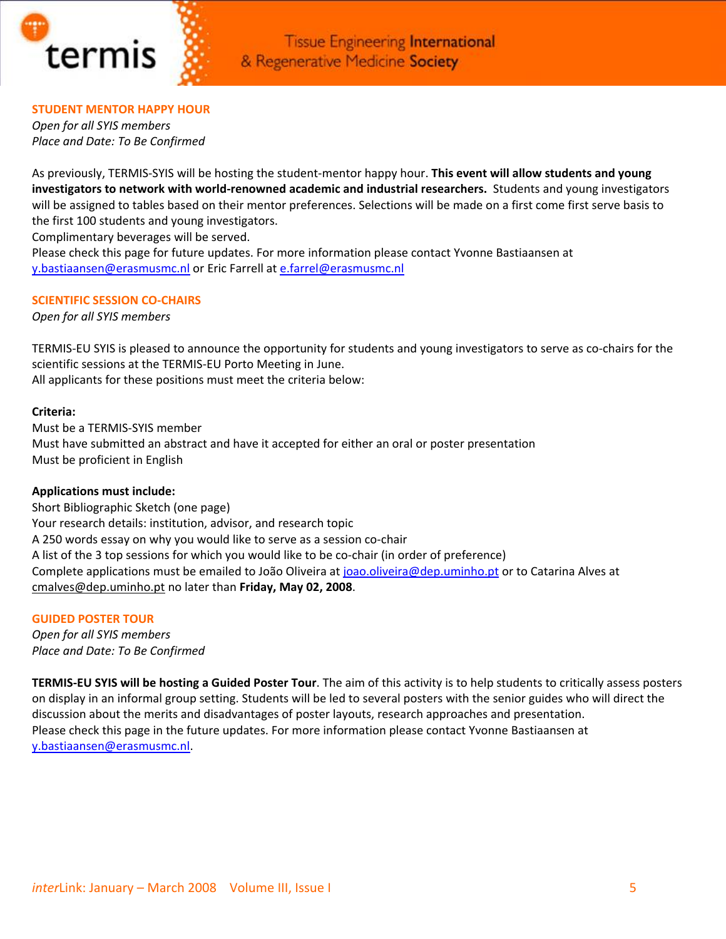

#### **STUDENT MENTOR HAPPY HOUR**

*Open for all SYIS members Place and Date: To Be Confirmed*

As previously, TERMIS‐SYIS will be hosting the student‐mentor happy hour. **This event will allow students and young investigators to network with world‐renowned academic and industrial researchers.** Students and young investigators will be assigned to tables based on their mentor preferences. Selections will be made on a first come first serve basis to the first 100 students and young investigators.

Complimentary beverages will be served.

Please check this page for future updates. For more information please contact Yvonne Bastiaansen at [y.bastiaansen@erasmusmc.nl](mailto:y.bastiaansen@erasmusmc.nl) or Eric Farrell at [e.farrel@erasmusmc.nl](mailto:e.farrel@erasmusmc.nl)

#### **SCIENTIFIC SESSION CO‐CHAIRS**

*Open for all SYIS members*

TERMIS‐EU SYIS is pleased to announce the opportunity for students and young investigators to serve as co‐chairs for the scientific sessions at the TERMIS‐EU Porto Meeting in June. All applicants for these positions must meet the criteria below:

#### **Criteria:**

Must be a TERMIS‐SYIS member Must have submitted an abstract and have it accepted for either an oral or poster presentation Must be proficient in English

### **Applications must include:**

Short Bibliographic Sketch (one page) Your research details: institution, advisor, and research topic A 250 words essay on why you would like to serve as a session co‐chair A list of the 3 top sessions for which you would like to be co-chair (in order of preference) Complete applications must be emailed to João Oliveira at [joao.oliveira@dep.uminho.pt](mailto:joao.oliveira@dep.uminho.pt) or to Catarina Alves at [cmalves@dep.uminho.pt](mailto:cmalves@dep.uminho.pt) no later than **Friday, May 02, 2008**.

#### **GUIDED POSTER TOUR**

*Open for all SYIS members Place and Date: To Be Confirmed*

**TERMIS‐EU SYIS will be hosting a Guided Poster Tour**. The aim of this activity is to help students to critically assess posters on display in an informal group setting. Students will be led to several posters with the senior guides who will direct the discussion about the merits and disadvantages of poster layouts, research approaches and presentation. Please check this page in the future updates. For more information please contact Yvonne Bastiaansen at [y.bastiaansen@erasmusmc.nl](mailto:y.bastiaansen@erasmusmc.nl).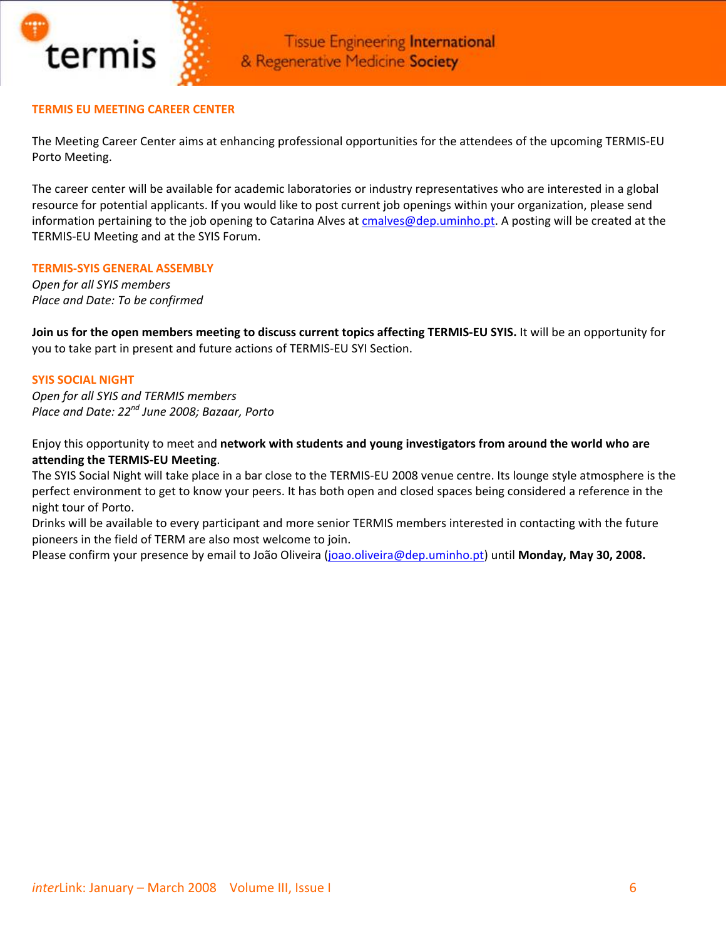

#### **TERMIS EU MEETING CAREER CENTER**

The Meeting Career Center aims at enhancing professional opportunities for the attendees of the upcoming TERMIS‐EU Porto Meeting.

The career center will be available for academic laboratories or industry representatives who are interested in a global resource for potential applicants. If you would like to post current job openings within your organization, please send information pertaining to the job opening to Catarina Alves at [cmalves@dep.uminho.pt.](mailto:cmalves@dep.uminho.pt) A posting will be created at the TERMIS‐EU Meeting and at the SYIS Forum.

#### **TERMIS‐SYIS GENERAL ASSEMBLY**

*Open for all SYIS members Place and Date: To be confirmed*

Join us for the open members meeting to discuss current topics affecting TERMIS-EU SYIS. It will be an opportunity for you to take part in present and future actions of TERMIS‐EU SYI Section.

#### **SYIS SOCIAL NIGHT**

*Open for all SYIS and TERMIS members Place and Date: 22nd June 2008; Bazaar, Porto*

Enjoy this opportunity to meet and **network with students and young investigators from around the world who are attending the TERMIS‐EU Meeting**.

The SYIS Social Night will take place in a bar close to the TERMIS‐EU 2008 venue centre. Its lounge style atmosphere is the perfect environment to get to know your peers. It has both open and closed spaces being considered a reference in the night tour of Porto.

Drinks will be available to every participant and more senior TERMIS members interested in contacting with the future pioneers in the field of TERM are also most welcome to join.

Please confirm your presence by email to João Oliveira ([joao.oliveira@dep.uminho.pt](mailto:joao.oliveira@dep.uminho.pt)) until **Monday, May 30, 2008.**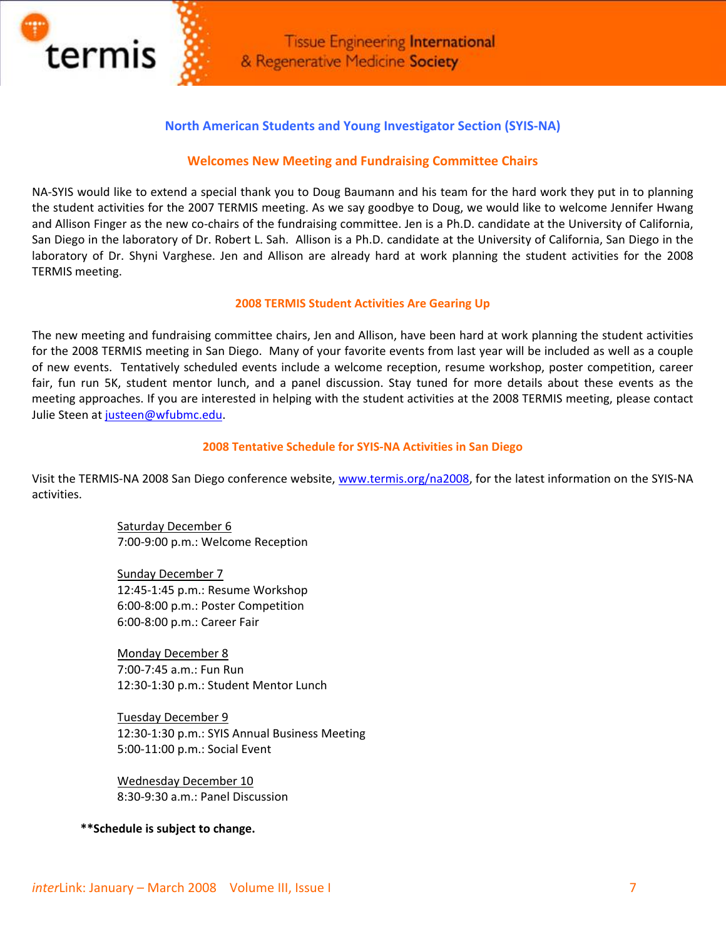

## **North American Students and Young Investigator Section (SYIS‐NA)**

#### **Welcomes New Meeting and Fundraising Committee Chairs**

NA-SYIS would like to extend a special thank you to Doug Baumann and his team for the hard work they put in to planning the student activities for the 2007 TERMIS meeting. As we say goodbye to Doug, we would like to welcome Jennifer Hwang and Allison Finger as the new co-chairs of the fundraising committee. Jen is a Ph.D. candidate at the University of California, San Diego in the laboratory of Dr. Robert L. Sah. Allison is a Ph.D. candidate at the University of California, San Diego in the laboratory of Dr. Shyni Varghese. Jen and Allison are already hard at work planning the student activities for the 2008 TERMIS meeting.

#### **2008 TERMIS Student Activities Are Gearing Up**

The new meeting and fundraising committee chairs, Jen and Allison, have been hard at work planning the student activities for the 2008 TERMIS meeting in San Diego. Many of your favorite events from last year will be included as well as a couple of new events. Tentatively scheduled events include a welcome reception, resume workshop, poster competition, career fair, fun run 5K, student mentor lunch, and a panel discussion. Stay tuned for more details about these events as the meeting approaches. If you are interested in helping with the student activities at the 2008 TERMIS meeting, please contact Julie Steen at [justeen@wfubmc.edu.](mailto:justeen@wfubmc.edu)

#### **2008 Tentative Schedule for SYIS‐NA Activities in San Diego**

Visit the TERMIS‐NA 2008 San Diego conference website, [www.termis.org/na2008,](http://www.termis.org/na2008) for the latest information on the SYIS‐NA activities.

> Saturday December 6 7:00‐9:00 p.m.: Welcome Reception

> Sunday December 7 12:45‐1:45 p.m.: Resume Workshop 6:00‐8:00 p.m.: Poster Competition 6:00‐8:00 p.m.: Career Fair

Monday December 8 7:00‐7:45 a.m.: Fun Run 12:30‐1:30 p.m.: Student Mentor Lunch

Tuesday December 9 12:30‐1:30 p.m.: SYIS Annual Business Meeting 5:00‐11:00 p.m.: Social Event

Wednesday December 10 8:30‐9:30 a.m.: Panel Discussion

 **\*\*Schedule is subject to change.**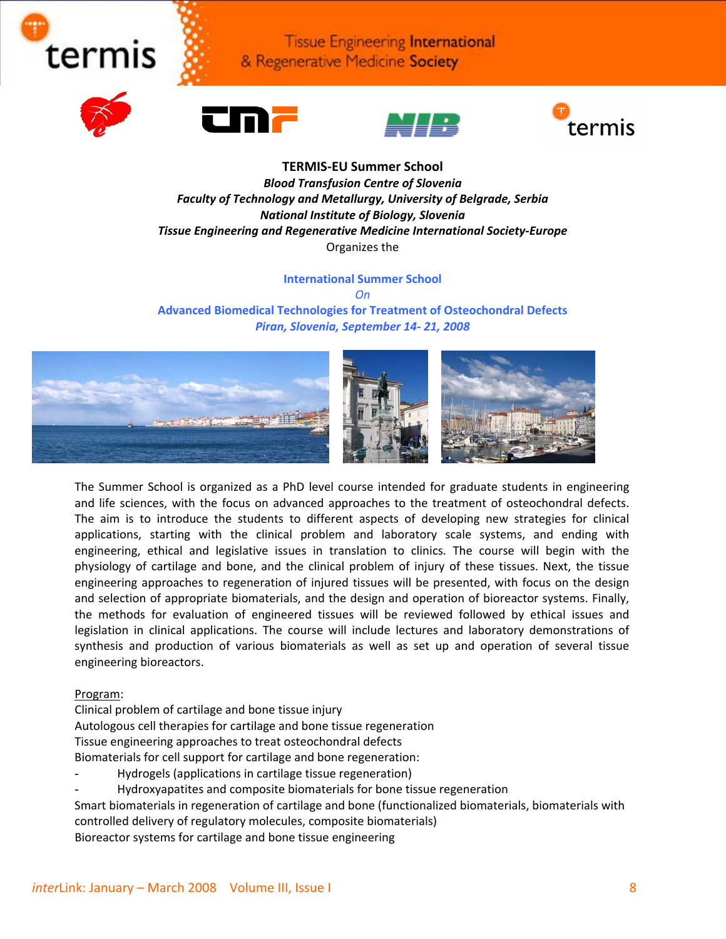







#### **TERMIS‐EU Summer School** *Blood Transfusion Centre of Slovenia Faculty of Technology and Metallurgy, University of Belgrade, Serbia National Institute of Biology, Slovenia Tissue Engineering and Regenerative Medicine International Society‐Europe* Organizes the

#### **International Summer School**

*On*

**Advanced Biomedical Technologies for Treatment of Osteochondral Defects** *Piran, Slovenia, September 14‐ 21, 2008*



The Summer School is organized as a PhD level course intended for graduate students in engineering and life sciences, with the focus on advanced approaches to the treatment of osteochondral defects. The aim is to introduce the students to different aspects of developing new strategies for clinical applications, starting with the clinical problem and laboratory scale systems, and ending with engineering, ethical and legislative issues in translation to clinics. The course will begin with the physiology of cartilage and bone, and the clinical problem of injury of these tissues. Next, the tissue engineering approaches to regeneration of injured tissues will be presented, with focus on the design and selection of appropriate biomaterials, and the design and operation of bioreactor systems. Finally, the methods for evaluation of engineered tissues will be reviewed followed by ethical issues and legislation in clinical applications. The course will include lectures and laboratory demonstrations of synthesis and production of various biomaterials as well as set up and operation of several tissue engineering bioreactors.

#### Program:

Clinical problem of cartilage and bone tissue injury

Autologous cell therapies for cartilage and bone tissue regeneration

Tissue engineering approaches to treat osteochondral defects

Biomaterials for cell support for cartilage and bone regeneration:

Hydrogels (applications in cartilage tissue regeneration)

- Hydroxyapatites and composite biomaterials for bone tissue regeneration

Smart biomaterials in regeneration of cartilage and bone (functionalized biomaterials, biomaterials with controlled delivery of regulatory molecules, composite biomaterials) Bioreactor systems for cartilage and bone tissue engineering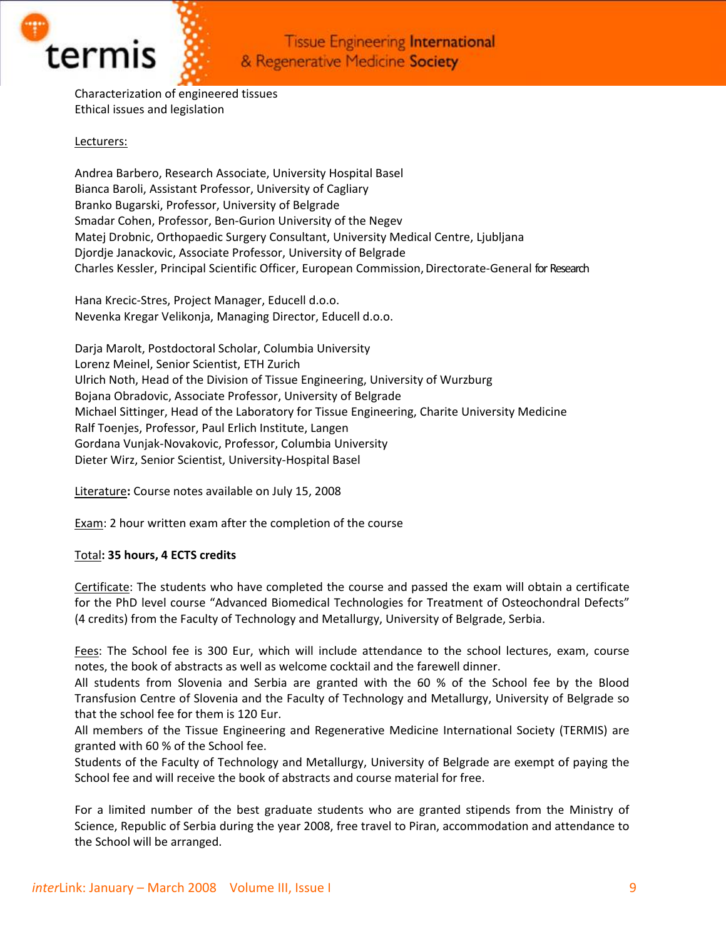

Characterization of engineered tissues Ethical issues and legislation

#### Lecturers:

Andrea Barbero, Research Associate, University Hospital Basel Bianca Baroli, Assistant Professor, University of Cagliary Branko Bugarski, Professor, University of Belgrade Smadar Cohen, Professor, Ben‐Gurion University of the Negev Matej Drobnic, Orthopaedic Surgery Consultant, University Medical Centre, Ljubljana Djordje Janackovic, Associate Professor, University of Belgrade Charles Kessler, Principal Scientific Officer, European Commission,Directorate‐General for Research

Hana Krecic‐Stres, Project Manager, Educell d.o.o. Nevenka Kregar Velikonja, Managing Director, Educell d.o.o.

Darja Marolt, Postdoctoral Scholar, Columbia University Lorenz Meinel, Senior Scientist, ETH Zurich Ulrich Noth, Head of the Division of Tissue Engineering, University of Wurzburg Bojana Obradovic, Associate Professor, University of Belgrade Michael Sittinger, Head of the Laboratory for Tissue Engineering, Charite University Medicine Ralf Toenjes, Professor, Paul Erlich Institute, Langen Gordana Vunjak‐Novakovic, Professor, Columbia University Dieter Wirz, Senior Scientist, University‐Hospital Basel

Literature**:** Course notes available on July 15, 2008

Exam: 2 hour written exam after the completion of the course

#### Total**: 35 hours, 4 ECTS credits**

Certificate: The students who have completed the course and passed the exam will obtain a certificate for the PhD level course "Advanced Biomedical Technologies for Treatment of Osteochondral Defects" (4 credits) from the Faculty of Technology and Metallurgy, University of Belgrade, Serbia.

Fees: The School fee is 300 Eur, which will include attendance to the school lectures, exam, course notes, the book of abstracts as well as welcome cocktail and the farewell dinner.

All students from Slovenia and Serbia are granted with the 60 % of the School fee by the Blood Transfusion Centre of Slovenia and the Faculty of Technology and Metallurgy, University of Belgrade so that the school fee for them is 120 Eur.

All members of the Tissue Engineering and Regenerative Medicine International Society (TERMIS) are granted with 60 % of the School fee.

Students of the Faculty of Technology and Metallurgy, University of Belgrade are exempt of paying the School fee and will receive the book of abstracts and course material for free.

For a limited number of the best graduate students who are granted stipends from the Ministry of Science, Republic of Serbia during the year 2008, free travel to Piran, accommodation and attendance to the School will be arranged.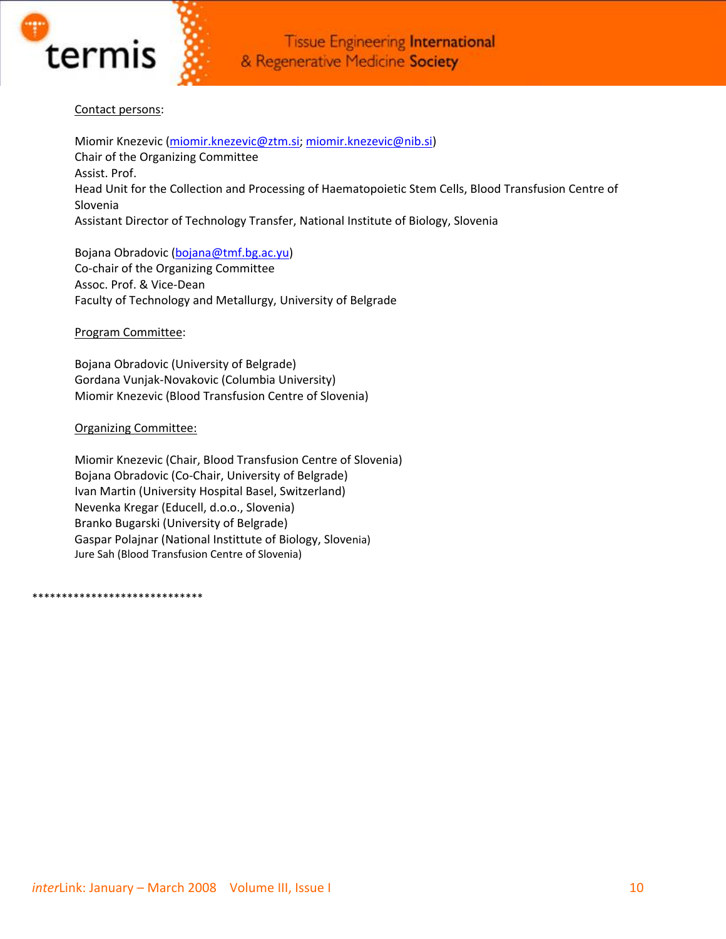

#### Contact persons:

Miomir Knezevic [\(miomir.knezevic@ztm.si;](mailto:miomir.knezevic@ztm.si) [miomir.knezevic@nib.si\)](mailto:miomir.knezevic@nib.si) Chair of the Organizing Committee Assist. Prof. Head Unit for the Collection and Processing of Haematopoietic Stem Cells, Blood Transfusion Centre of Slovenia Assistant Director of Technology Transfer, National Institute of Biology, Slovenia

Bojana Obradovic ([bojana@tmf.bg.ac.yu](mailto:bojana@tmf.bg.ac.yu))

Co‐chair of the Organizing Committee Assoc. Prof. & Vice‐Dean Faculty of Technology and Metallurgy, University of Belgrade

Program Committee:

Bojana Obradovic (University of Belgrade) Gordana Vunjak‐Novakovic (Columbia University) Miomir Knezevic (Blood Transfusion Centre of Slovenia)

#### Organizing Committee:

Miomir Knezevic (Chair, Blood Transfusion Centre of Slovenia) Bojana Obradovic (Co‐Chair, University of Belgrade) Ivan Martin (University Hospital Basel, Switzerland) Nevenka Kregar (Educell, d.o.o., Slovenia) Branko Bugarski (University of Belgrade) Gaspar Polajnar (National Instittute of Biology, Slovenia) Jure Sah (Blood Transfusion Centre of Slovenia)

\*\*\*\*\*\*\*\*\*\*\*\*\*\*\*\*\*\*\*\*\*\*\*\*\*\*\*\*\*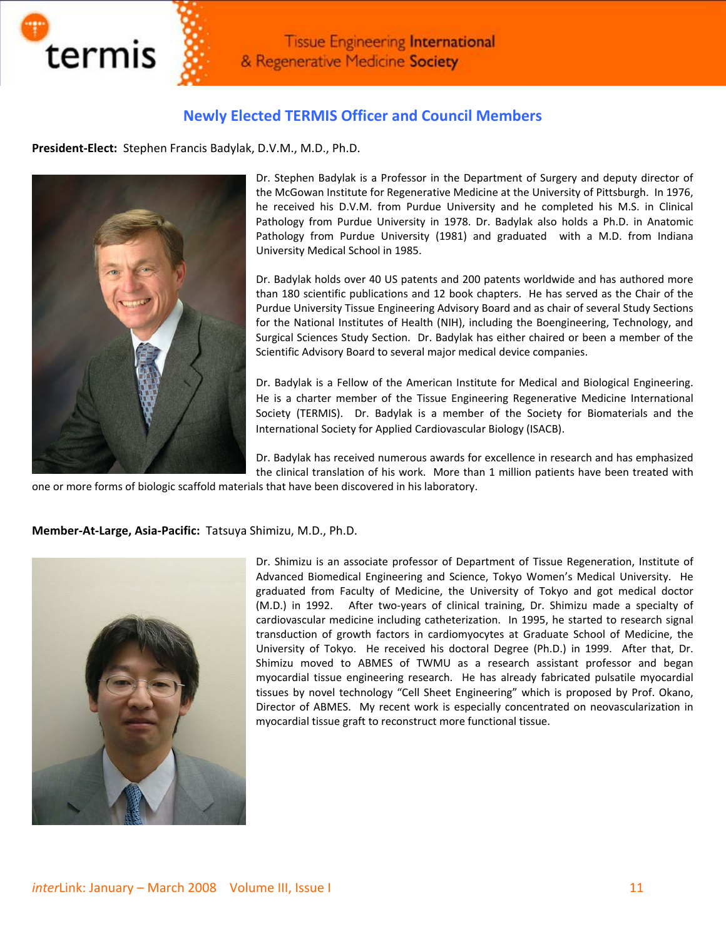

## **Newly Elected TERMIS Officer and Council Members**

**President‐Elect:** Stephen Francis Badylak, D.V.M., M.D., Ph.D.



Dr. Stephen Badylak is a Professor in the Department of Surgery and deputy director of the McGowan Institute for Regenerative Medicine at the University of Pittsburgh. In 1976, he received his D.V.M. from Purdue University and he completed his M.S. in Clinical Pathology from Purdue University in 1978. Dr. Badylak also holds a Ph.D. in Anatomic Pathology from Purdue University (1981) and graduated with a M.D. from Indiana University Medical School in 1985.

Dr. Badylak holds over 40 US patents and 200 patents worldwide and has authored more than 180 scientific publications and 12 book chapters. He has served as the Chair of the Purdue University Tissue Engineering Advisory Board and as chair of several Study Sections for the National Institutes of Health (NIH), including the Boengineering, Technology, and Surgical Sciences Study Section. Dr. Badylak has either chaired or been a member of the Scientific Advisory Board to several major medical device companies.

Dr. Badylak is a Fellow of the American Institute for Medical and Biological Engineering. He is a charter member of the Tissue Engineering Regenerative Medicine International Society (TERMIS). Dr. Badylak is a member of the Society for Biomaterials and the International Society for Applied Cardiovascular Biology (ISACB).

Dr. Badylak has received numerous awards for excellence in research and has emphasized the clinical translation of his work. More than 1 million patients have been treated with

one or more forms of biologic scaffold materials that have been discovered in his laboratory.

**Member‐At‐Large, Asia‐Pacific:** Tatsuya Shimizu, M.D., Ph.D.



Dr. Shimizu is an associate professor of Department of Tissue Regeneration, Institute of Advanced Biomedical Engineering and Science, Tokyo Women's Medical University. He graduated from Faculty of Medicine, the University of Tokyo and got medical doctor (M.D.) in 1992. After two-years of clinical training, Dr. Shimizu made a specialty of cardiovascular medicine including catheterization. In 1995, he started to research signal transduction of growth factors in cardiomyocytes at Graduate School of Medicine, the University of Tokyo. He received his doctoral Degree (Ph.D.) in 1999. After that, Dr. Shimizu moved to ABMES of TWMU as a research assistant professor and began myocardial tissue engineering research. He has already fabricated pulsatile myocardial tissues by novel technology "Cell Sheet Engineering" which is proposed by Prof. Okano, Director of ABMES. My recent work is especially concentrated on neovascularization in myocardial tissue graft to reconstruct more functional tissue.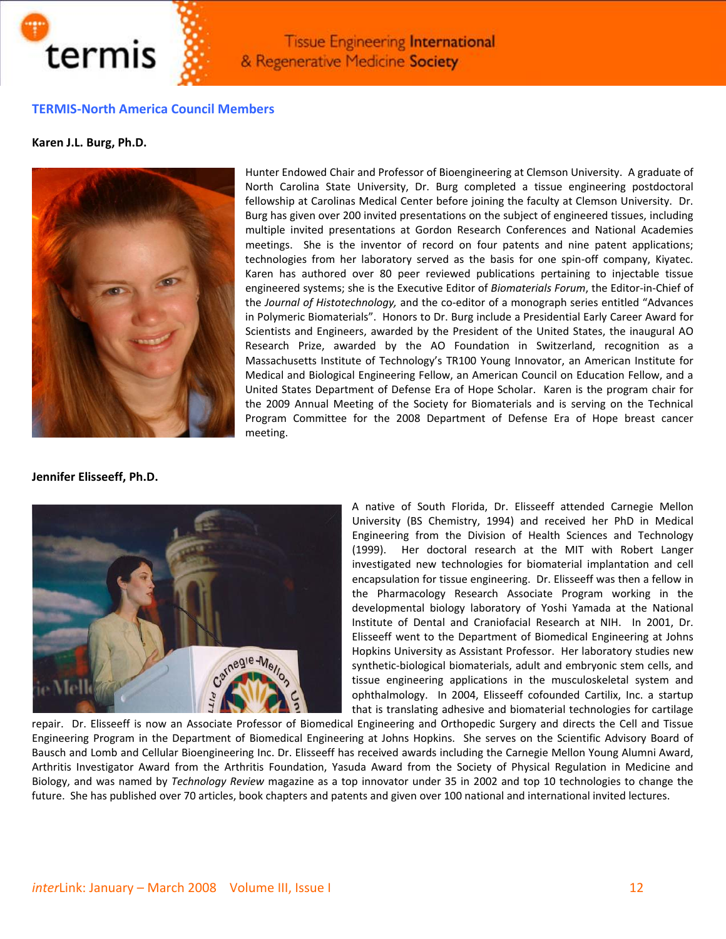

#### **TERMIS‐North America Council Members**

**Karen J.L. Burg, Ph.D.**



Hunter Endowed Chair and Professor of Bioengineering at Clemson University.A graduate of North Carolina State University, Dr. Burg completed a tissue engineering postdoctoral fellowship at Carolinas Medical Center before joining the faculty at Clemson University. Dr. Burg has given over 200 invited presentations on the subject of engineered tissues, including multiple invited presentations at Gordon Research Conferences and National Academies meetings. She is the inventor of record on four patents and nine patent applications; technologies from her laboratory served as the basis for one spin‐off company, Kiyatec. Karen has authored over 80 peer reviewed publications pertaining to injectable tissue engineered systems; she is the Executive Editor of *Biomaterials Forum*, the Editor‐in‐Chief of the *Journal of Histotechnology,* and the co‐editor of a monograph series entitled "Advances in Polymeric Biomaterials". Honors to Dr. Burg include a Presidential Early Career Award for Scientists and Engineers, awarded by the President of the United States, the inaugural AO Research Prize, awarded by the AO Foundation in Switzerland, recognition as a Massachusetts Institute of Technology's TR100 Young Innovator, an American Institute for Medical and Biological Engineering Fellow, an American Council on Education Fellow, and a United States Department of Defense Era of Hope Scholar. Karen is the program chair for the 2009 Annual Meeting of the Society for Biomaterials and is serving on the Technical Program Committee for the 2008 Department of Defense Era of Hope breast cancer meeting.

**Jennifer Elisseeff, Ph.D.**



A native of South Florida, Dr. Elisseeff attended Carnegie Mellon University (BS Chemistry, 1994) and received her PhD in Medical Engineering from the Division of Health Sciences and Technology (1999). Her doctoral research at the MIT with Robert Langer investigated new technologies for biomaterial implantation and cell encapsulation for tissue engineering. Dr. Elisseeff was then a fellow in the Pharmacology Research Associate Program working in the developmental biology laboratory of Yoshi Yamada at the National Institute of Dental and Craniofacial Research at NIH. In 2001, Dr. Elisseeff went to the Department of Biomedical Engineering at Johns Hopkins University as Assistant Professor. Her laboratory studies new synthetic‐biological biomaterials, adult and embryonic stem cells, and tissue engineering applications in the musculoskeletal system and ophthalmology. In 2004, Elisseeff cofounded Cartilix, Inc. a startup that is translating adhesive and biomaterial technologies for cartilage

repair. Dr. Elisseeff is now an Associate Professor of Biomedical Engineering and Orthopedic Surgery and directs the Cell and Tissue Engineering Program in the Department of Biomedical Engineering at Johns Hopkins. She serves on the Scientific Advisory Board of Bausch and Lomb and Cellular Bioengineering Inc. Dr. Elisseeff has received awards including the Carnegie Mellon Young Alumni Award, Arthritis Investigator Award from the Arthritis Foundation, Yasuda Award from the Society of Physical Regulation in Medicine and Biology, and was named by *Technology Review* magazine as a top innovator under 35 in 2002 and top 10 technologies to change the future. She has published over 70 articles, book chapters and patents and given over 100 national and international invited lectures.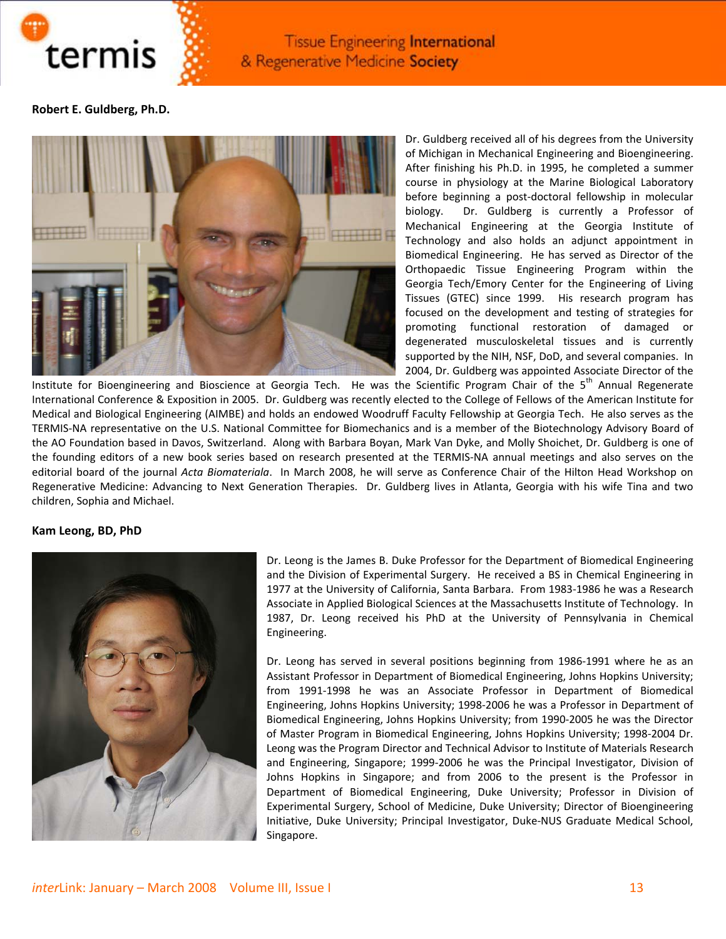

**Robert E. Guldberg, Ph.D.**



Dr. Guldberg received all of his degrees from the University of Michigan in Mechanical Engineering and Bioengineering. After finishing his Ph.D. in 1995, he completed a summer course in physiology at the Marine Biological Laboratory before beginning a post‐doctoral fellowship in molecular biology. Dr. Guldberg is currently a Professor of Mechanical Engineering at the Georgia Institute of Technology and also holds an adjunct appointment in Biomedical Engineering. He has served as Director of the Orthopaedic Tissue Engineering Program within the Georgia Tech/Emory Center for the Engineering of Living Tissues (GTEC) since 1999. His research program has focused on the development and testing of strategies for promoting functional restoration of damaged or degenerated musculoskeletal tissues and is currently supported by the NIH, NSF, DoD, and several companies. In 2004, Dr. Guldberg was appointed Associate Director of the

Institute for Bioengineering and Bioscience at Georgia Tech. He was the Scientific Program Chair of the 5<sup>th</sup> Annual Regenerate International Conference & Exposition in 2005. Dr. Guldberg was recently elected to the College of Fellows of the American Institute for Medical and Biological Engineering (AIMBE) and holds an endowed Woodruff Faculty Fellowship at Georgia Tech. He also serves as the TERMIS‐NA representative on the U.S. National Committee for Biomechanics and is a member of the Biotechnology Advisory Board of the AO Foundation based in Davos, Switzerland. Along with Barbara Boyan, Mark Van Dyke, and Molly Shoichet, Dr. Guldberg is one of the founding editors of a new book series based on research presented at the TERMIS‐NA annual meetings and also serves on the editorial board of the journal *Acta Biomateriala*. In March 2008, he will serve as Conference Chair of the Hilton Head Workshop on Regenerative Medicine: Advancing to Next Generation Therapies. Dr. Guldberg lives in Atlanta, Georgia with his wife Tina and two children, Sophia and Michael.

#### **Kam Leong, BD, PhD**



Dr. Leong is the James B. Duke Professor for the Department of Biomedical Engineering and the Division of Experimental Surgery. He received a BS in Chemical Engineering in 1977 at the University of California, Santa Barbara. From 1983-1986 he was a Research Associate in Applied Biological Sciences at the Massachusetts Institute of Technology. In 1987, Dr. Leong received his PhD at the University of Pennsylvania in Chemical Engineering.

Dr. Leong has served in several positions beginning from 1986‐1991 where he as an Assistant Professor in Department of Biomedical Engineering, Johns Hopkins University; from 1991-1998 he was an Associate Professor in Department of Biomedical Engineering, Johns Hopkins University; 1998‐2006 he was a Professor in Department of Biomedical Engineering, Johns Hopkins University; from 1990‐2005 he was the Director of Master Program in Biomedical Engineering, Johns Hopkins University; 1998‐2004 Dr. Leong was the Program Director and Technical Advisor to Institute of Materials Research and Engineering, Singapore; 1999‐2006 he was the Principal Investigator, Division of Johns Hopkins in Singapore; and from 2006 to the present is the Professor in Department of Biomedical Engineering, Duke University; Professor in Division of Experimental Surgery, School of Medicine, Duke University; Director of Bioengineering Initiative, Duke University; Principal Investigator, Duke‐NUS Graduate Medical School, Singapore.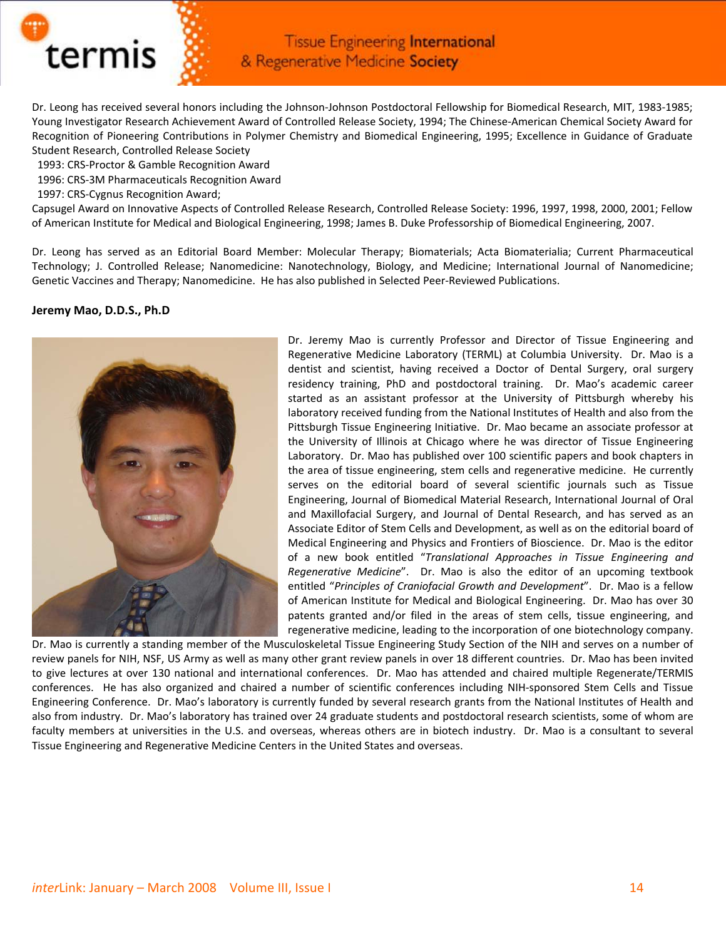

Dr. Leong has received several honors including the Johnson‐Johnson Postdoctoral Fellowship for Biomedical Research, MIT, 1983‐1985; Young Investigator Research Achievement Award of Controlled Release Society, 1994; The Chinese‐American Chemical Society Award for Recognition of Pioneering Contributions in Polymer Chemistry and Biomedical Engineering, 1995; Excellence in Guidance of Graduate Student Research, Controlled Release Society

- 1993: CRS‐Proctor & Gamble Recognition Award
- 1996: CRS‐3M Pharmaceuticals Recognition Award
- 1997: CRS‐Cygnus Recognition Award;

Capsugel Award on Innovative Aspects of Controlled Release Research, Controlled Release Society: 1996, 1997, 1998, 2000, 2001; Fellow of American Institute for Medical and Biological Engineering, 1998; James B. Duke Professorship of Biomedical Engineering, 2007.

Dr. Leong has served as an Editorial Board Member: Molecular Therapy; Biomaterials; Acta Biomaterialia; Current Pharmaceutical Technology; J. Controlled Release; Nanomedicine: Nanotechnology, Biology, and Medicine; International Journal of Nanomedicine; Genetic Vaccines and Therapy; Nanomedicine. He has also published in Selected Peer‐Reviewed Publications.

#### **Jeremy Mao, D.D.S., Ph.D**



Dr. Jeremy Mao is currently Professor and Director of Tissue Engineering and Regenerative Medicine Laboratory (TERML) at Columbia University. Dr. Mao is a dentist and scientist, having received a Doctor of Dental Surgery, oral surgery residency training, PhD and postdoctoral training. Dr. Mao's academic career started as an assistant professor at the University of Pittsburgh whereby his laboratory received funding from the National Institutes of Health and also from the Pittsburgh Tissue Engineering Initiative. Dr. Mao became an associate professor at the University of Illinois at Chicago where he was director of Tissue Engineering Laboratory. Dr. Mao has published over 100 scientific papers and book chapters in the area of tissue engineering, stem cells and regenerative medicine. He currently serves on the editorial board of several scientific journals such as Tissue Engineering, Journal of Biomedical Material Research, International Journal of Oral and Maxillofacial Surgery, and Journal of Dental Research, and has served as an Associate Editor of Stem Cells and Development, as well as on the editorial board of Medical Engineering and Physics and Frontiers of Bioscience. Dr. Mao is the editor of a new book entitled "*Translational Approaches in Tissue Engineering and Regenerative Medicine*". Dr. Mao is also the editor of an upcoming textbook entitled "*Principles of Craniofacial Growth and Development*". Dr. Mao is a fellow of American Institute for Medical and Biological Engineering. Dr. Mao has over 30 patents granted and/or filed in the areas of stem cells, tissue engineering, and regenerative medicine, leading to the incorporation of one biotechnology company.

Dr. Mao is currently a standing member of the Musculoskeletal Tissue Engineering Study Section of the NIH and serves on a number of review panels for NIH, NSF, US Army as well as many other grant review panels in over 18 different countries. Dr. Mao has been invited to give lectures at over 130 national and international conferences. Dr. Mao has attended and chaired multiple Regenerate/TERMIS conferences. He has also organized and chaired a number of scientific conferences including NIH-sponsored Stem Cells and Tissue Engineering Conference. Dr. Mao's laboratory is currently funded by several research grants from the National Institutes of Health and also from industry. Dr. Mao's laboratory has trained over 24 graduate students and postdoctoral research scientists, some of whom are faculty members at universities in the U.S. and overseas, whereas others are in biotech industry. Dr. Mao is a consultant to several Tissue Engineering and Regenerative Medicine Centers in the United States and overseas.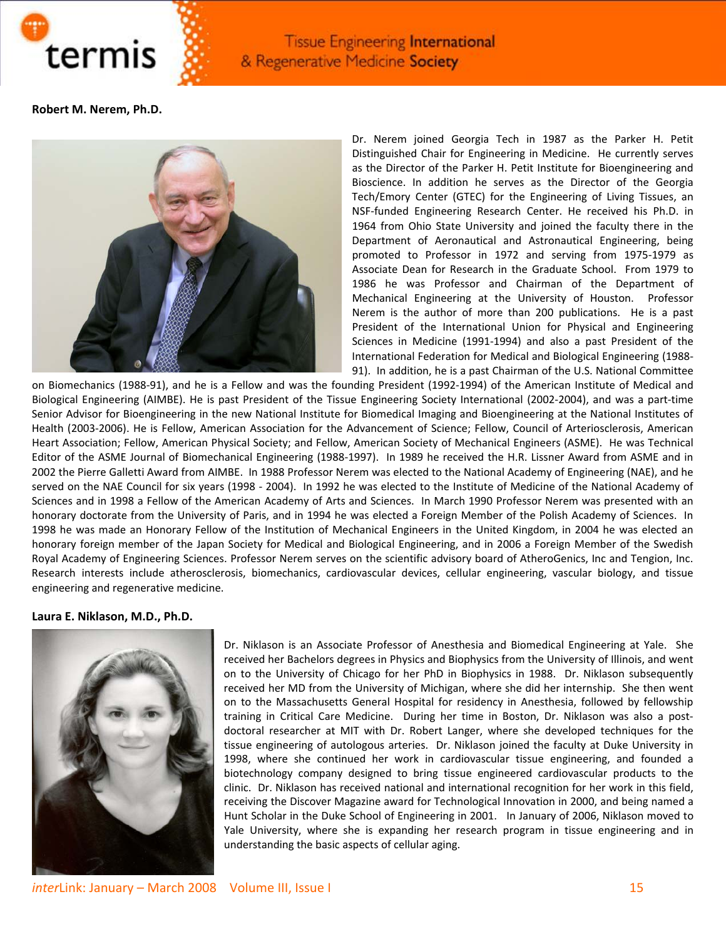

**Robert M. Nerem, Ph.D.**



Dr. Nerem joined Georgia Tech in 1987 as the Parker H. Petit Distinguished Chair for Engineering in Medicine. He currently serves as the Director of the Parker H. Petit Institute for Bioengineering and Bioscience. In addition he serves as the Director of the Georgia Tech/Emory Center (GTEC) for the Engineering of Living Tissues, an NSF‐funded Engineering Research Center. He received his Ph.D. in 1964 from Ohio State University and joined the faculty there in the Department of Aeronautical and Astronautical Engineering, being promoted to Professor in 1972 and serving from 1975‐1979 as Associate Dean for Research in the Graduate School. From 1979 to 1986 he was Professor and Chairman of the Department of Mechanical Engineering at the University of Houston. Professor Nerem is the author of more than 200 publications. He is a past President of the International Union for Physical and Engineering Sciences in Medicine (1991-1994) and also a past President of the International Federation for Medical and Biological Engineering (1988‐ 91). In addition, he is a past Chairman of the U.S. National Committee

on Biomechanics (1988‐91), and he is a Fellow and was the founding President (1992‐1994) of the American Institute of Medical and Biological Engineering (AIMBE). He is past President of the Tissue Engineering Society International (2002‐2004), and was a part‐time Senior Advisor for Bioengineering in the new National Institute for Biomedical Imaging and Bioengineering at the National Institutes of Health (2003‐2006). He is Fellow, American Association for the Advancement of Science; Fellow, Council of Arteriosclerosis, American Heart Association; Fellow, American Physical Society; and Fellow, American Society of Mechanical Engineers (ASME). He was Technical Editor of the ASME Journal of Biomechanical Engineering (1988‐1997). In 1989 he received the H.R. Lissner Award from ASME and in 2002 the Pierre Galletti Award from AIMBE. In 1988 Professor Nerem was elected to the National Academy of Engineering (NAE), and he served on the NAE Council for six years (1998 - 2004). In 1992 he was elected to the Institute of Medicine of the National Academy of Sciences and in 1998 a Fellow of the American Academy of Arts and Sciences. In March 1990 Professor Nerem was presented with an honorary doctorate from the University of Paris, and in 1994 he was elected a Foreign Member of the Polish Academy of Sciences. In 1998 he was made an Honorary Fellow of the Institution of Mechanical Engineers in the United Kingdom, in 2004 he was elected an honorary foreign member of the Japan Society for Medical and Biological Engineering, and in 2006 a Foreign Member of the Swedish Royal Academy of Engineering Sciences. Professor Nerem serves on the scientific advisory board of AtheroGenics, Inc and Tengion, Inc. Research interests include atherosclerosis, biomechanics, cardiovascular devices, cellular engineering, vascular biology, and tissue engineering and regenerative medicine.

#### **Laura E. Niklason, M.D., Ph.D.**



Dr. Niklason is an Associate Professor of Anesthesia and Biomedical Engineering at Yale. She received her Bachelors degrees in Physics and Biophysics from the University of Illinois, and went on to the University of Chicago for her PhD in Biophysics in 1988. Dr. Niklason subsequently received her MD from the University of Michigan, where she did her internship. She then went on to the Massachusetts General Hospital for residency in Anesthesia, followed by fellowship training in Critical Care Medicine. During her time in Boston, Dr. Niklason was also a postdoctoral researcher at MIT with Dr. Robert Langer, where she developed techniques for the tissue engineering of autologous arteries. Dr. Niklason joined the faculty at Duke University in 1998, where she continued her work in cardiovascular tissue engineering, and founded a biotechnology company designed to bring tissue engineered cardiovascular products to the clinic. Dr. Niklason has received national and international recognition for her work in this field, receiving the Discover Magazine award for Technological Innovation in 2000, and being named a Hunt Scholar in the Duke School of Engineering in 2001. In January of 2006, Niklason moved to Yale University, where she is expanding her research program in tissue engineering and in understanding the basic aspects of cellular aging.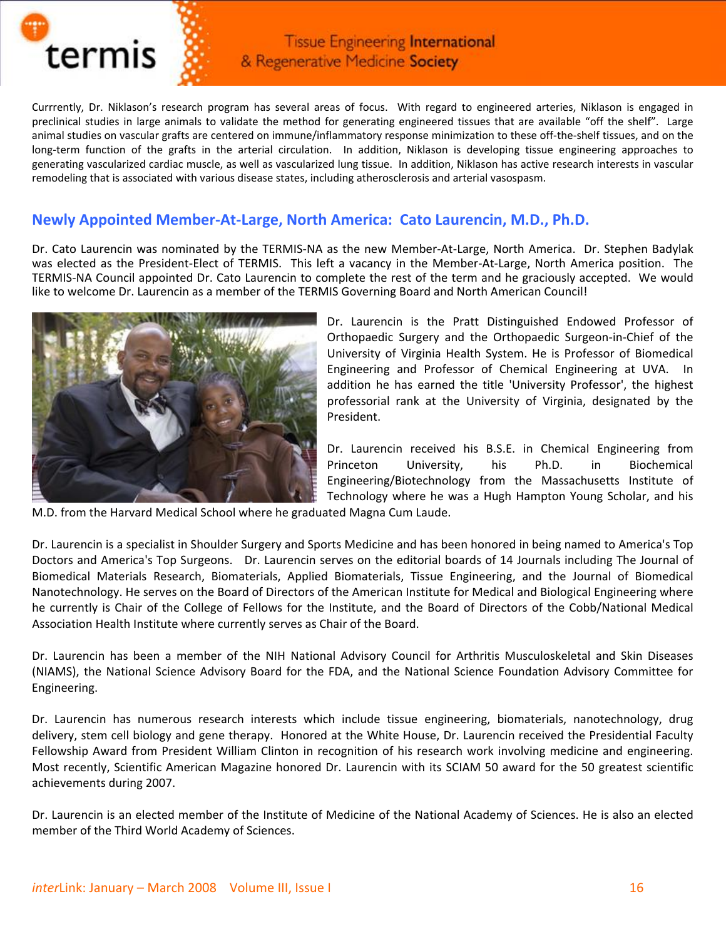

Currrently, Dr. Niklason's research program has several areas of focus. With regard to engineered arteries, Niklason is engaged in preclinical studies in large animals to validate the method for generating engineered tissues that are available "off the shelf". Large animal studies on vascular grafts are centered on immune/inflammatory response minimization to these off‐the‐shelf tissues, and on the long-term function of the grafts in the arterial circulation. In addition, Niklason is developing tissue engineering approaches to generating vascularized cardiac muscle, as well as vascularized lung tissue. In addition, Niklason has active research interests in vascular remodeling that is associated with various disease states, including atherosclerosis and arterial vasospasm.

## **Newly Appointed Member‐At‐Large, North America: Cato Laurencin, M.D., Ph.D.**

Dr. Cato Laurencin was nominated by the TERMIS‐NA as the new Member‐At‐Large, North America. Dr. Stephen Badylak was elected as the President-Elect of TERMIS. This left a vacancy in the Member-At-Large, North America position. The TERMIS‐NA Council appointed Dr. Cato Laurencin to complete the rest of the term and he graciously accepted. We would like to welcome Dr. Laurencin as a member of the TERMIS Governing Board and North American Council!



Dr. Laurencin is the Pratt Distinguished Endowed Professor of Orthopaedic Surgery and the Orthopaedic Surgeon‐in‐Chief of the University of Virginia Health System. He is Professor of Biomedical Engineering and Professor of Chemical Engineering at UVA. In addition he has earned the title 'University Professor', the highest professorial rank at the University of Virginia, designated by the President.

Dr. Laurencin received his B.S.E. in Chemical Engineering from Princeton University, his Ph.D. in Biochemical Engineering/Biotechnology from the Massachusetts Institute of Technology where he was a Hugh Hampton Young Scholar, and his

M.D. from the Harvard Medical School where he graduated Magna Cum Laude.

Dr. Laurencin is a specialist in Shoulder Surgery and Sports Medicine and has been honored in being named to America's Top Doctors and America's Top Surgeons. Dr. Laurencin serves on the editorial boards of 14 Journals including The Journal of Biomedical Materials Research, Biomaterials, Applied Biomaterials, Tissue Engineering, and the Journal of Biomedical Nanotechnology. He serves on the Board of Directors of the American Institute for Medical and Biological Engineering where he currently is Chair of the College of Fellows for the Institute, and the Board of Directors of the Cobb/National Medical Association Health Institute where currently serves as Chair of the Board.

Dr. Laurencin has been a member of the NIH National Advisory Council for Arthritis Musculoskeletal and Skin Diseases (NIAMS), the National Science Advisory Board for the FDA, and the National Science Foundation Advisory Committee for Engineering.

Dr. Laurencin has numerous research interests which include tissue engineering, biomaterials, nanotechnology, drug delivery, stem cell biology and gene therapy. Honored at the White House, Dr. Laurencin received the Presidential Faculty Fellowship Award from President William Clinton in recognition of his research work involving medicine and engineering. Most recently, Scientific American Magazine honored Dr. Laurencin with its SCIAM 50 award for the 50 greatest scientific achievements during 2007.

Dr. Laurencin is an elected member of the Institute of Medicine of the National Academy of Sciences. He is also an elected member of the Third World Academy of Sciences.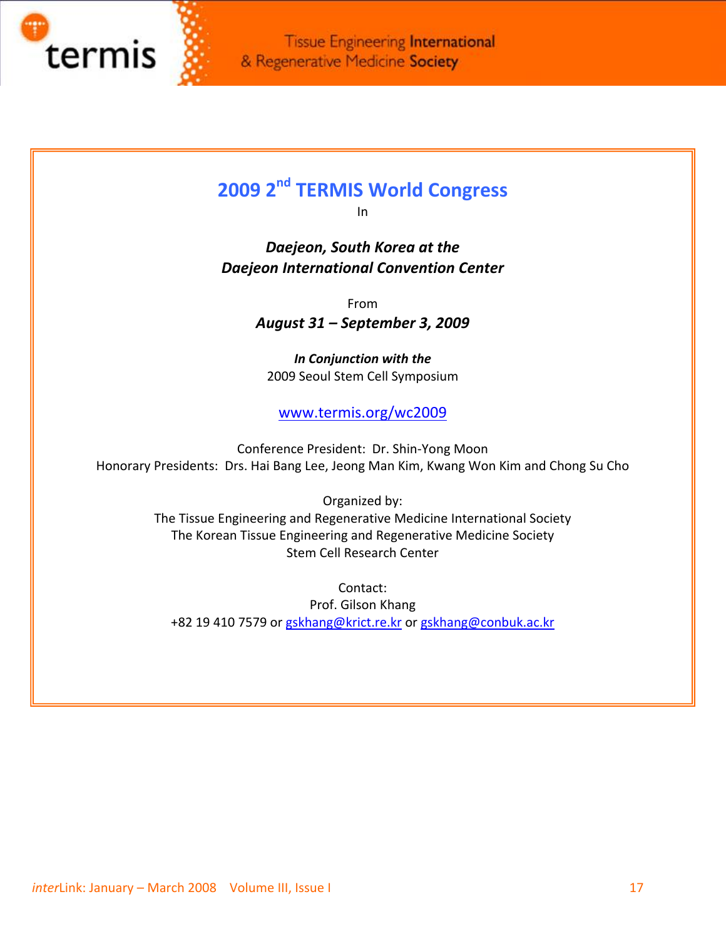

L

**Tissue Engineering International** & Regenerative Medicine Society

# **2009 2nd TERMIS World Congress**

In

*Daejeon, South Korea at the Daejeon International Convention Center*

From

*August 31 – September 3, 2009*

*In Conjunction with the* 2009 Seoul Stem Cell Symposium

[www.termis.org/wc2009](http://www.termis.org/wc2009)

Conference President: Dr. Shin‐Yong Moon Honorary Presidents: Drs. Hai Bang Lee, Jeong Man Kim, Kwang Won Kim and Chong Su Cho

> Organized by: The Tissue Engineering and Regenerative Medicine International Society The Korean Tissue Engineering and Regenerative Medicine Society Stem Cell Research Center

> > Contact:

Prof. Gilson Khang +82 19 410 7579 or [gskhang@krict.re.kr](mailto:gskhang@krict.re.kr) or [gskhang@conbuk.ac.kr](mailto:gskhang@conbuk.ac.kr)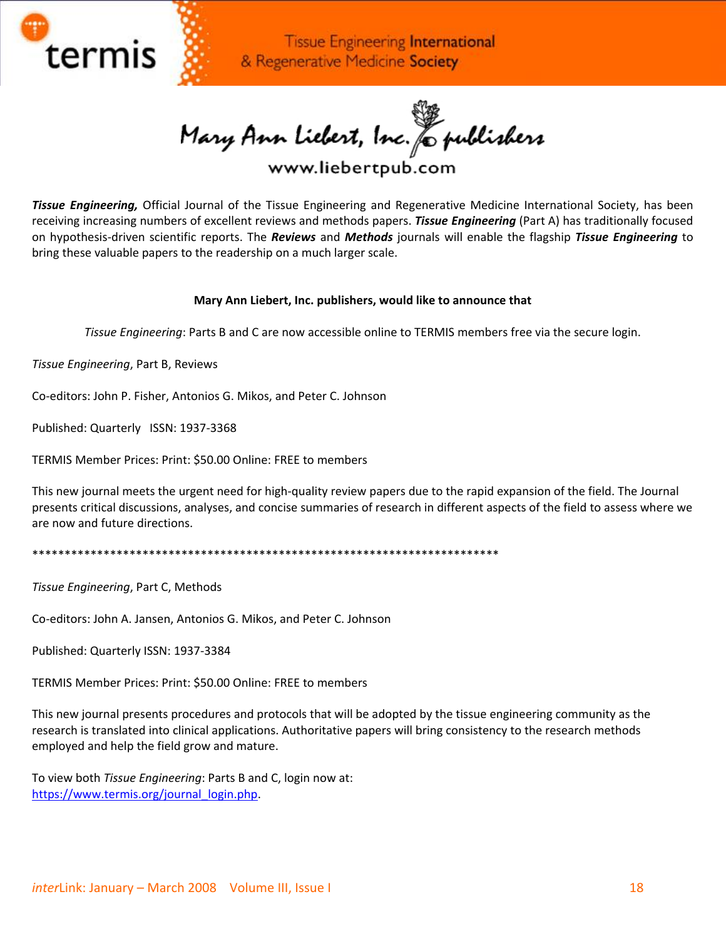

Mary Ann Liebert, Inc. & publishers<br>www.liebertpub.com

*Tissue Engineering,* Official Journal of the Tissue Engineering and Regenerative Medicine International Society, has been receiving increasing numbers of excellent reviews and methods papers. *Tissue Engineering* (Part A) has traditionally focused on hypothesis‐driven scientific reports. The *Reviews* and *Methods* journals will enable the flagship *Tissue Engineering* to bring these valuable papers to the readership on a much larger scale.

#### **Mary Ann Liebert, Inc. publishers, would like to announce that**

*Tissue Engineering*: Parts B and C are now accessible online to TERMIS members free via the secure login.

*Tissue Engineering*, Part B, Reviews

Co‐editors: John P. Fisher, Antonios G. Mikos, and Peter C. Johnson

Published: Quarterly ISSN: 1937‐3368

TERMIS Member Prices: Print: \$50.00 Online: FREE to members

This new journal meets the urgent need for high-quality review papers due to the rapid expansion of the field. The Journal presents critical discussions, analyses, and concise summaries of research in different aspects of the field to assess where we are now and future directions.

\*\*\*\*\*\*\*\*\*\*\*\*\*\*\*\*\*\*\*\*\*\*\*\*\*\*\*\*\*\*\*\*\*\*\*\*\*\*\*\*\*\*\*\*\*\*\*\*\*\*\*\*\*\*\*\*\*\*\*\*\*\*\*\*\*\*\*\*\*\*\*\*

*Tissue Engineering*, Part C, Methods

Co‐editors: John A. Jansen, Antonios G. Mikos, and Peter C. Johnson

Published: Quarterly ISSN: 1937‐3384

TERMIS Member Prices: Print: \$50.00 Online: FREE to members

This new journal presents procedures and protocols that will be adopted by the tissue engineering community as the research is translated into clinical applications. Authoritative papers will bring consistency to the research methods employed and help the field grow and mature.

To view both *Tissue Engineering*: Parts B and C, login now at: [https://www.termis.org/journal\\_login.php](https://www.termis.org/journal_login.php).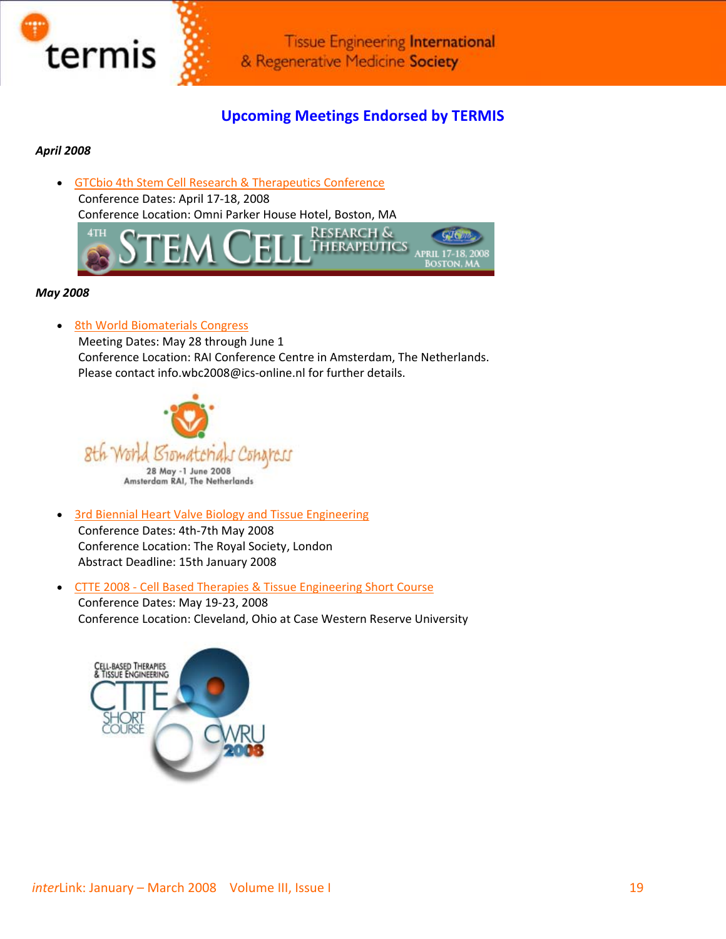

# **Upcoming Meetings Endorsed by TERMIS**

#### *April 2008*

• GTCbio 4th Stem Cell Research & [Therapeutics](http://gtcbio.com/conferenceDetails.aspx?id=120) Conference Conference Dates: April 17‐18, 2008 Conference Location: Omni Parker House Hotel, Boston, MA



#### *May 2008*

• 8th World [Biomaterials](http://www.wbc2008.com/) Congress

Meeting Dates: May 28 through June 1 Conference Location: RAI Conference Centre in Amsterdam, The Netherlands. Please contact info.wbc2008@ics‐online.nl for further details.



- 3rd Biennial Heart Valve Biology and Tissue [Engineering](http://www.londonheartvalve.org.uk/) Conference Dates: 4th‐7th May 2008 Conference Location: The Royal Society, London Abstract Deadline: 15th January 2008
- CTTE 2008 ‐ Cell Based Therapies & Tissue [Engineering](http://www.cttecourse.org/) Short Course

Conference Dates: May 19‐23, 2008 Conference Location: Cleveland, Ohio at Case Western Reserve University

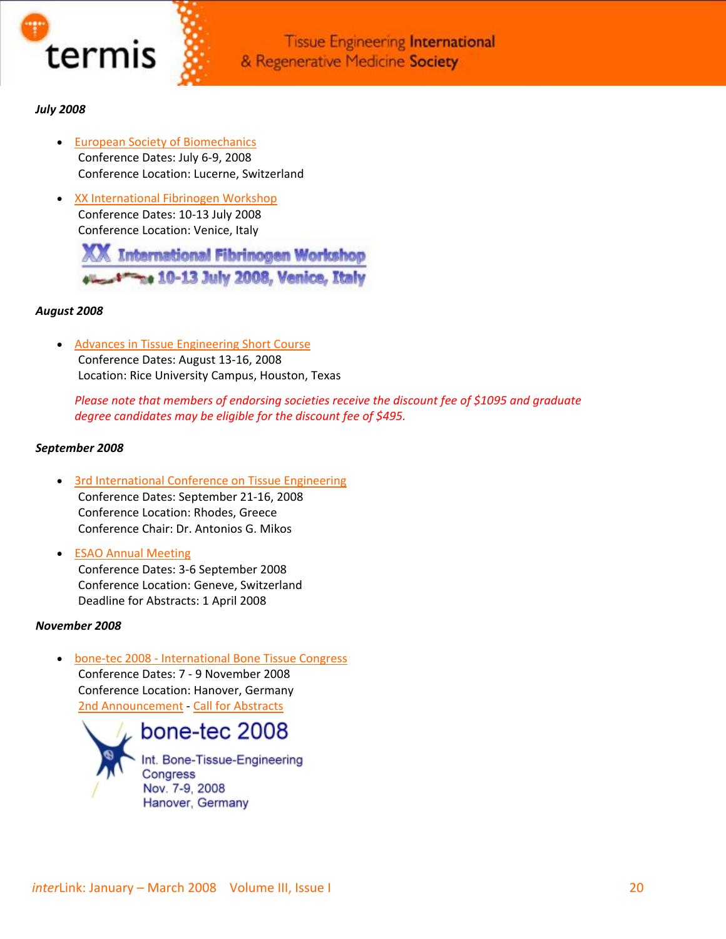

### *July 2008*

- European Society of [Biomechanics](http://www.esb2008.org/) Conference Dates: July 6‐9, 2008 Conference Location: Lucerne, Switzerland
- XX [International](http://alisf1.univpm.it/XXifw/) Fibrinogen Workshop Conference Dates: 10‐13 July 2008 Conference Location: Venice, Italy

**International Fibrinogen Workshop** 10-13 July 2008, Venice, Italy

#### *August 2008*

• Advances in Tissue [Engineering](http://tissue.rice.edu/) Short Course Conference Dates: August 13‐16, 2008 Location: Rice University Campus, Houston, Texas

*Please note that members of endorsing societies receive the discount fee of \$1095 and graduate degree candidates may be eligible for the discount fee of \$495.*

#### *September 2008*

- 3rd [International](http://www.aegeanconferences.org/) Conference on Tissue Engineering Conference Dates: September 21‐16, 2008 Conference Location: Rhodes, Greece Conference Chair: Dr. Antonios G. Mikos
- ESAO Annual [Meeting](http://www.esao2008.medecine.unige.ch/) Conference Dates: 3‐6 September 2008 Conference Location: Geneve, Switzerland Deadline for Abstracts: 1 April 2008

#### *November 2008*

• bone-tec 2008 - [International](http://www.bone-tec.com/) Bone Tissue Congress Conference Dates: 7 ‐ 9 November 2008 Conference Location: Hanover, Germany 2nd [Announcement](http://www.termis.org/docs/bonetec_2008conference.pdf) ‐ Call for [Abstracts](http://www.termis.org/docs/Call_for_abstracts_100108.pdf)